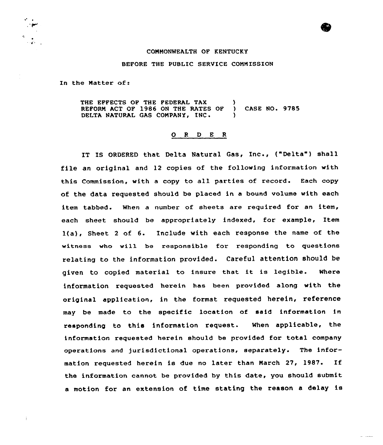## COMMONWEALTH OF KENTUCKY

## BEFORE THE PUBLIC SERVICE COMMISSION

In the Matter af:

THE EFFECTS OF THE FEDERAL TAX (1) REFORM ACT OF 1986 ON THE RATES OF ) CASE NO. 9785 DELTA NATURAL GAS COMPANY, INC.

## O R D E R

IT IS ORDERED that Delta Natural Gas, Inc., {"Delta") shall file an original and 12 copies of the following information with this Commission, with a copy to all parties of record. Each copy af the data requested should be placed in a bound volume with each item tabbed. When a number of sheets are required for an item, each sheet should be appropriately indexed, for example, Item  $1(a)$ , Sheet 2 of 6. Include with each response the name of the witness wha will be respansible for responding to questions relating to the information provided. Careful attention should be given to copied material to insure that it is legible. Where information requested herein has been provided along with the original application, in the format requested herein, reference may be made to the specific location of said information in responding to this information request. When applicable, the information requested herein should be provided for total company operations and jurisdictional operations, separately. The information requested herein is due no later than March 27, 1987. If the information cannot be provided by this date, you should submit <sup>a</sup> motion for an extension of time stating the reason <sup>a</sup> delay is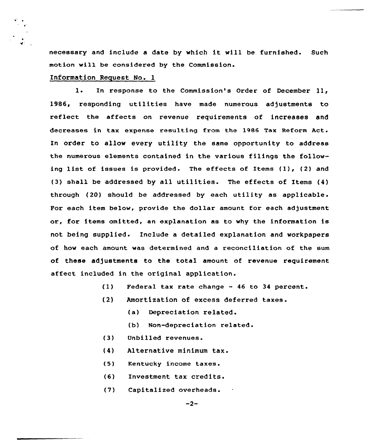necessary and include <sup>a</sup> date by which it will be furnished. Such motion will be considered by the Commission.

## Information Request No. 1

l. In response to the Commission's Order of December ll, 1986, responding utilities have made numerous adjustments to reflect the affects on revenue requirements of increases and decreases in tax expense resulting from the 1986 Tax Reform Act. In order to allow every utility the same opportunity to address the numerous elements contained in the various filings the following list of issues is provided. The effects of Items (1), (2) and (3) shall be addressed by all utilities. The effects of Items (4) through (20) should be addressed by each utility as applicable. For each item below, provide the dollar amount for each adjustment or, for items omitted, an explanation as to why the information is not being supplied. Include a detailed explanation and workpapers of how each amount was determined and a reconciliation of the sum of these adjustments to the total amount of revenue requirement affect included in the original application.

- $(1)$ Federal tax rate change — 46 to 34 percent.
- (2) Amortization of excess deferred taxes.
	- (a) Depreciation related.
	- (b) Non-depreciation related.
- (3) Unbilled revenues.
- (4) Alternative minimum tax.
- (5) Kentucky income taxes.
- (6) Investment tax credits.
- $(7)$ Capitalized overheads.

 $-2-$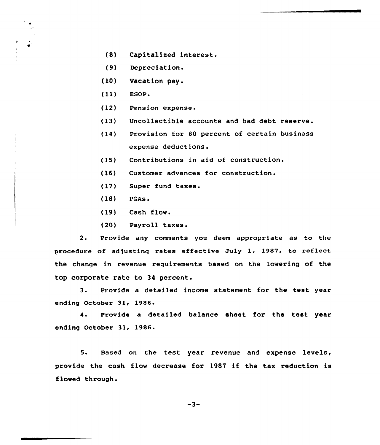- (8) Capitalized interest.
- (9) Depreciation.
- (10) Vacation pay <sup>~</sup>
- (ll) EsoP
- (12) Pension expense.
- (13) Uncollectible accounts and bad debt reserve.
- (14) Provision for 80 percent of certain business expense deductions.
- (15) Contributions in aid of construction.
- (16) Customer advances for construction.
- (17) Super fund taxes.
- (18} PGAs.
- (19} Cash flow.
- (20) Payroll taxes.

2. Provide any comments you deem appropriate as to the procedure of adjusting rates effective July 1, 1987, to reflect the change in revenue requirements based on the lowering of the top corporate rate to 34 percent.

3. Provide <sup>a</sup> detailed income statement for the test year ending October 31, 1986.

4. Provide a detailed balance sheet for the test year ending October 31, 1986.

5. Based on the test year revenue and expense levels, provide the cash flow decrease for 1987 if the tax reduction is flowed through.

-3-